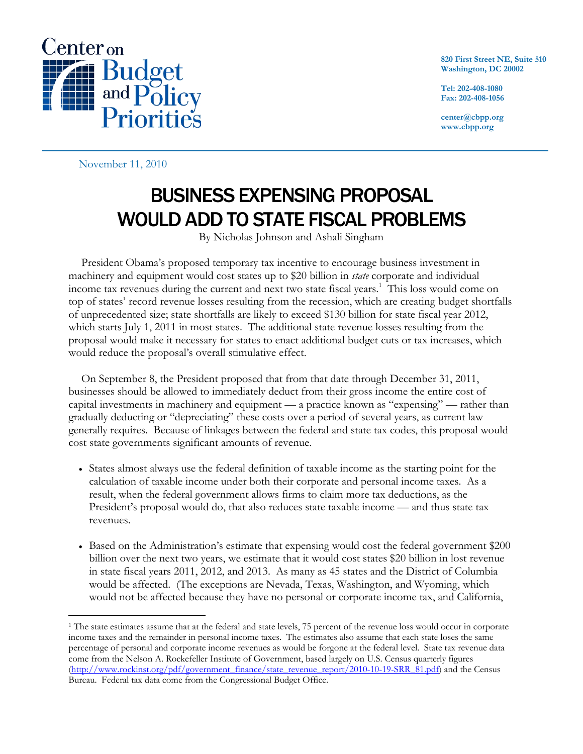

**820 First Street NE, Suite 510 Washington, DC 20002** 

**Tel: 202-408-1080 Fax: 202-408-1056** 

**center@cbpp.org www.cbpp.org** 

November 11, 2010

 $\overline{a}$ 

## BUSINESS EXPENSING PROPOSAL WOULD ADD TO STATE FISCAL PROBLEMS

By Nicholas Johnson and Ashali Singham

 President Obama's proposed temporary tax incentive to encourage business investment in machinery and equipment would cost states up to \$20 billion in *state* corporate and individual income tax revenues during the current and next two state fiscal years.<sup>1</sup> This loss would come on top of states' record revenue losses resulting from the recession, which are creating budget shortfalls of unprecedented size; state shortfalls are likely to exceed \$130 billion for state fiscal year 2012, which starts July 1, 2011 in most states. The additional state revenue losses resulting from the proposal would make it necessary for states to enact additional budget cuts or tax increases, which would reduce the proposal's overall stimulative effect.

 On September 8, the President proposed that from that date through December 31, 2011, businesses should be allowed to immediately deduct from their gross income the entire cost of capital investments in machinery and equipment — a practice known as "expensing" — rather than gradually deducting or "depreciating" these costs over a period of several years, as current law generally requires. Because of linkages between the federal and state tax codes, this proposal would cost state governments significant amounts of revenue.

- States almost always use the federal definition of taxable income as the starting point for the calculation of taxable income under both their corporate and personal income taxes. As a result, when the federal government allows firms to claim more tax deductions, as the President's proposal would do, that also reduces state taxable income — and thus state tax revenues.
- Based on the Administration's estimate that expensing would cost the federal government \$200 billion over the next two years, we estimate that it would cost states \$20 billion in lost revenue in state fiscal years 2011, 2012, and 2013. As many as 45 states and the District of Columbia would be affected. (The exceptions are Nevada, Texas, Washington, and Wyoming, which would not be affected because they have no personal or corporate income tax, and California,

<sup>&</sup>lt;sup>1</sup> The state estimates assume that at the federal and state levels, 75 percent of the revenue loss would occur in corporate income taxes and the remainder in personal income taxes. The estimates also assume that each state loses the same percentage of personal and corporate income revenues as would be forgone at the federal level. State tax revenue data come from the Nelson A. Rockefeller Institute of Government, based largely on U.S. Census quarterly figures (http://www.rockinst.org/pdf/government\_finance/state\_revenue\_report/2010-10-19-SRR\_81.pdf) and the Census Bureau. Federal tax data come from the Congressional Budget Office.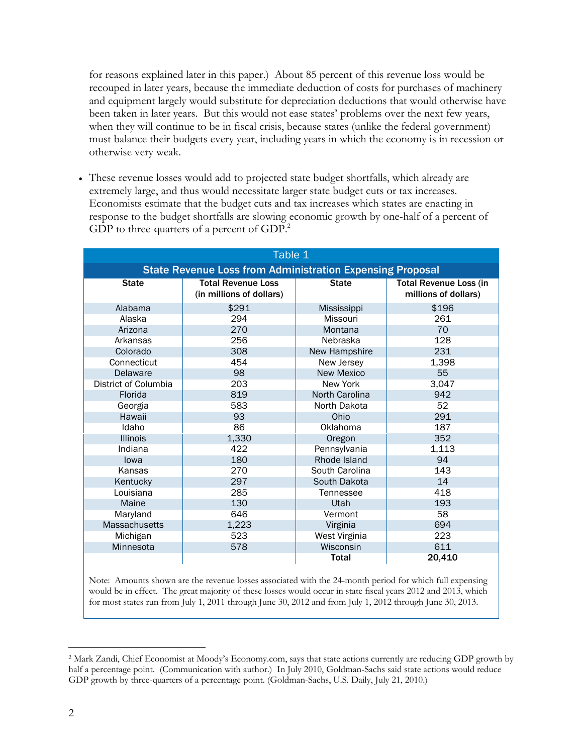for reasons explained later in this paper.) About 85 percent of this revenue loss would be recouped in later years, because the immediate deduction of costs for purchases of machinery and equipment largely would substitute for depreciation deductions that would otherwise have been taken in later years. But this would not ease states' problems over the next few years, when they will continue to be in fiscal crisis, because states (unlike the federal government) must balance their budgets every year, including years in which the economy is in recession or otherwise very weak.

 These revenue losses would add to projected state budget shortfalls, which already are extremely large, and thus would necessitate larger state budget cuts or tax increases. Economists estimate that the budget cuts and tax increases which states are enacting in response to the budget shortfalls are slowing economic growth by one-half of a percent of GDP to three-quarters of a percent of  $GDP<sup>2</sup>$ .

| Table 1                                                          |                                                       |                   |                                                       |
|------------------------------------------------------------------|-------------------------------------------------------|-------------------|-------------------------------------------------------|
| <b>State Revenue Loss from Administration Expensing Proposal</b> |                                                       |                   |                                                       |
| <b>State</b>                                                     | <b>Total Revenue Loss</b><br>(in millions of dollars) | <b>State</b>      | <b>Total Revenue Loss (in</b><br>millions of dollars) |
| Alabama                                                          | \$291                                                 | Mississippi       | \$196                                                 |
| Alaska                                                           | 294                                                   | Missouri          | 261                                                   |
| Arizona                                                          | 270                                                   | Montana           | 70                                                    |
| Arkansas                                                         | 256                                                   | Nebraska          | 128                                                   |
| Colorado                                                         | 308                                                   | New Hampshire     | 231                                                   |
| Connecticut                                                      | 454                                                   | New Jersey        | 1,398                                                 |
| Delaware                                                         | 98                                                    | <b>New Mexico</b> | 55                                                    |
| District of Columbia                                             | 203                                                   | New York          | 3,047                                                 |
| Florida                                                          | 819                                                   | North Carolina    | 942                                                   |
| Georgia                                                          | 583                                                   | North Dakota      | 52                                                    |
| Hawaii                                                           | 93                                                    | Ohio              | 291                                                   |
| Idaho                                                            | 86                                                    | Oklahoma          | 187                                                   |
| <b>Illinois</b>                                                  | 1,330                                                 | Oregon            | 352                                                   |
| Indiana                                                          | 422                                                   | Pennsylvania      | 1,113                                                 |
| lowa                                                             | 180                                                   | Rhode Island      | 94                                                    |
| Kansas                                                           | 270                                                   | South Carolina    | 143                                                   |
| Kentucky                                                         | 297                                                   | South Dakota      | 14                                                    |
| Louisiana                                                        | 285                                                   | Tennessee         | 418                                                   |
| Maine                                                            | 130                                                   | Utah              | 193                                                   |
| Maryland                                                         | 646                                                   | Vermont           | 58                                                    |
| <b>Massachusetts</b>                                             | 1,223                                                 | Virginia          | 694                                                   |
| Michigan                                                         | 523                                                   | West Virginia     | 223                                                   |
| Minnesota                                                        | 578                                                   | Wisconsin         | 611                                                   |
|                                                                  |                                                       | <b>Total</b>      | 20,410                                                |

Note: Amounts shown are the revenue losses associated with the 24-month period for which full expensing would be in effect. The great majority of these losses would occur in state fiscal years 2012 and 2013, which for most states run from July 1, 2011 through June 30, 2012 and from July 1, 2012 through June 30, 2013.

 $\overline{a}$ 2 Mark Zandi, Chief Economist at Moody's Economy.com, says that state actions currently are reducing GDP growth by half a percentage point. (Communication with author.) In July 2010, Goldman-Sachs said state actions would reduce GDP growth by three-quarters of a percentage point. (Goldman-Sachs, U.S. Daily, July 21, 2010.)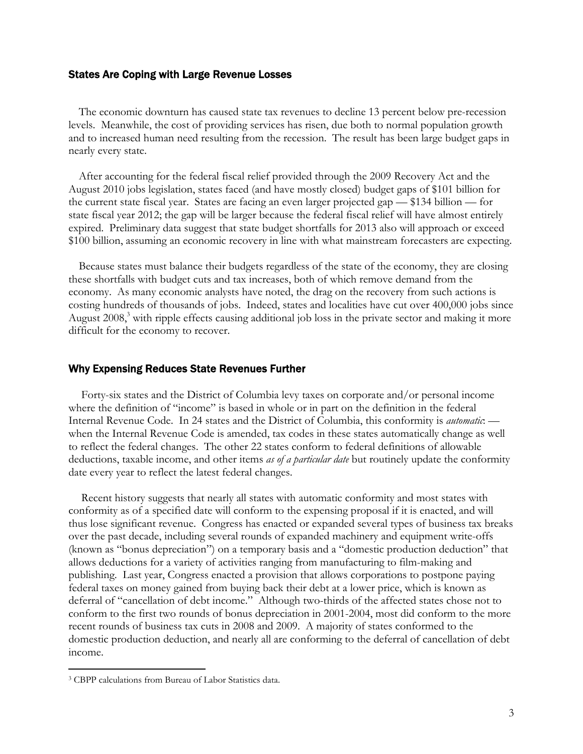## States Are Coping with Large Revenue Losses

The economic downturn has caused state tax revenues to decline 13 percent below pre-recession levels. Meanwhile, the cost of providing services has risen, due both to normal population growth and to increased human need resulting from the recession. The result has been large budget gaps in nearly every state.

After accounting for the federal fiscal relief provided through the 2009 Recovery Act and the August 2010 jobs legislation, states faced (and have mostly closed) budget gaps of \$101 billion for the current state fiscal year. States are facing an even larger projected gap — \$134 billion — for state fiscal year 2012; the gap will be larger because the federal fiscal relief will have almost entirely expired. Preliminary data suggest that state budget shortfalls for 2013 also will approach or exceed \$100 billion, assuming an economic recovery in line with what mainstream forecasters are expecting.

Because states must balance their budgets regardless of the state of the economy, they are closing these shortfalls with budget cuts and tax increases, both of which remove demand from the economy. As many economic analysts have noted, the drag on the recovery from such actions is costing hundreds of thousands of jobs. Indeed, states and localities have cut over 400,000 jobs since August 2008,<sup>3</sup> with ripple effects causing additional job loss in the private sector and making it more difficult for the economy to recover.

## Why Expensing Reduces State Revenues Further

 Forty-six states and the District of Columbia levy taxes on corporate and/or personal income where the definition of "income" is based in whole or in part on the definition in the federal Internal Revenue Code. In 24 states and the District of Columbia, this conformity is *automatic*: when the Internal Revenue Code is amended, tax codes in these states automatically change as well to reflect the federal changes. The other 22 states conform to federal definitions of allowable deductions, taxable income, and other items *as of a particular date* but routinely update the conformity date every year to reflect the latest federal changes.

 Recent history suggests that nearly all states with automatic conformity and most states with conformity as of a specified date will conform to the expensing proposal if it is enacted, and will thus lose significant revenue. Congress has enacted or expanded several types of business tax breaks over the past decade, including several rounds of expanded machinery and equipment write-offs (known as "bonus depreciation") on a temporary basis and a "domestic production deduction" that allows deductions for a variety of activities ranging from manufacturing to film-making and publishing. Last year, Congress enacted a provision that allows corporations to postpone paying federal taxes on money gained from buying back their debt at a lower price, which is known as deferral of "cancellation of debt income." Although two-thirds of the affected states chose not to conform to the first two rounds of bonus depreciation in 2001-2004, most did conform to the more recent rounds of business tax cuts in 2008 and 2009. A majority of states conformed to the domestic production deduction, and nearly all are conforming to the deferral of cancellation of debt income.

-

<sup>3</sup> CBPP calculations from Bureau of Labor Statistics data.